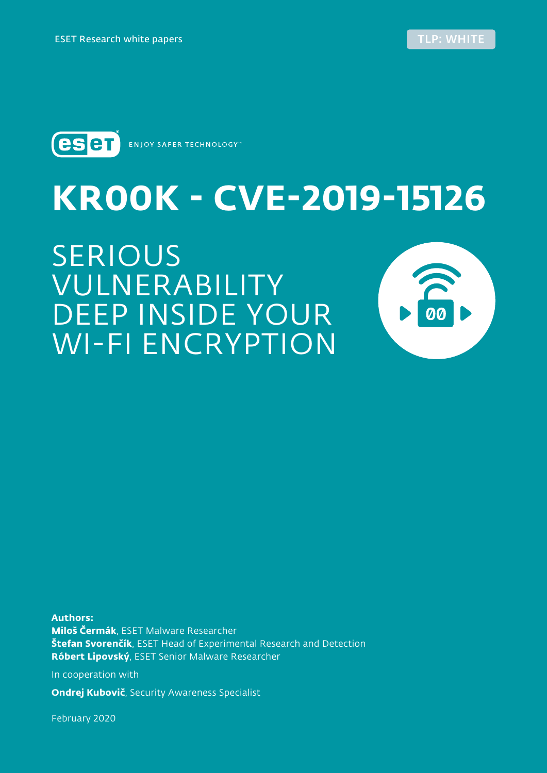



**ENJOY SAFER TECHNOLOGY**"

WI-FI ENCRYPTION

# **KR00K - CVE-2019-15126** SERIOUS VULNERABILITY DEEP INSIDE YOUR

**Authors: Miloš Čermák**, ESET Malware Researcher **Štefan Svorenčík**, ESET Head of Experimental Research and Detection **Róbert Lipovský**, ESET Senior Malware Researcher

In cooperation with

**Ondrej Kubovič**, Security Awareness Specialist

February 2020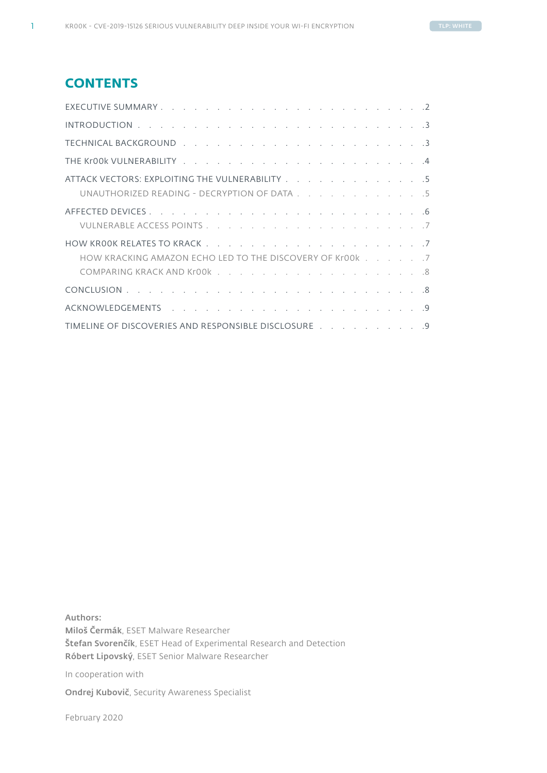## **CONTENTS**

| ATTACK VECTORS: EXPLOITING THE VULNERABILITY 5           |  |
|----------------------------------------------------------|--|
| UNAUTHORIZED READING - DECRYPTION OF DATA 5              |  |
|                                                          |  |
|                                                          |  |
|                                                          |  |
| HOW KRACKING AMAZON ECHO LED TO THE DISCOVERY OF Kr00k 7 |  |
|                                                          |  |
|                                                          |  |
|                                                          |  |
| TIMELINE OF DISCOVERIES AND RESPONSIBLE DISCLOSURE 9     |  |

Authors: Miloš Čermák, ESET Malware Researcher Štefan Svorenčík, ESET Head of Experimental Research and Detection Róbert Lipovský, ESET Senior Malware Researcher

In cooperation with

Ondrej Kubovič, Security Awareness Specialist

February 2020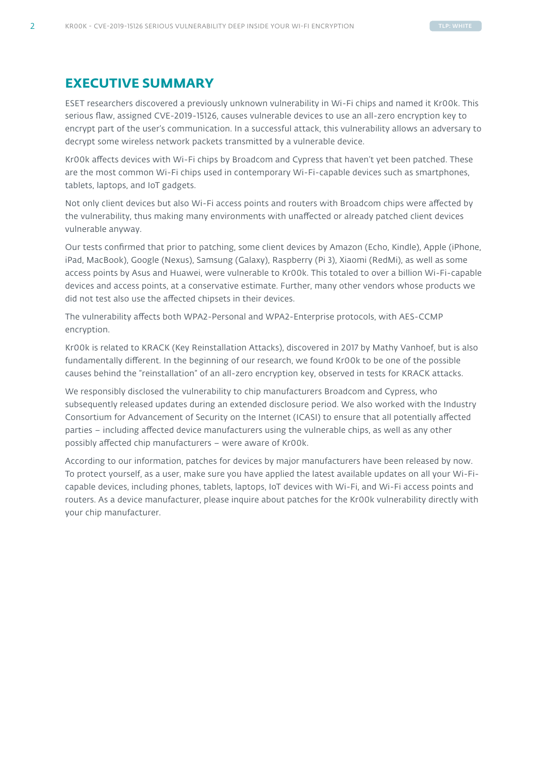### <span id="page-2-0"></span>**EXECUTIVE SUMMARY**

ESET researchers discovered a previously unknown vulnerability in Wi-Fi chips and named it Kr00k. This serious flaw, assigned CVE-2019-15126, causes vulnerable devices to use an all-zero encryption key to encrypt part of the user's communication. In a successful attack, this vulnerability allows an adversary to decrypt some wireless network packets transmitted by a vulnerable device.

Kr00k affects devices with Wi-Fi chips by Broadcom and Cypress that haven't yet been patched. These are the most common Wi-Fi chips used in contemporary Wi-Fi-capable devices such as smartphones, tablets, laptops, and IoT gadgets.

Not only client devices but also Wi-Fi access points and routers with Broadcom chips were affected by the vulnerability, thus making many environments with unaffected or already patched client devices vulnerable anyway.

Our tests confirmed that prior to patching, some client devices by Amazon (Echo, Kindle), Apple (iPhone, iPad, MacBook), Google (Nexus), Samsung (Galaxy), Raspberry (Pi 3), Xiaomi (RedMi), as well as some access points by Asus and Huawei, were vulnerable to Kr00k. This totaled to over a billion Wi-Fi-capable devices and access points, at a conservative estimate. Further, many other vendors whose products we did not test also use the affected chipsets in their devices.

The vulnerability affects both WPA2-Personal and WPA2-Enterprise protocols, with AES-CCMP encryption.

Kr00k is related to KRACK (Key Reinstallation Attacks), discovered in 2017 by Mathy Vanhoef, but is also fundamentally different. In the beginning of our research, we found Kr00k to be one of the possible causes behind the "reinstallation" of an all-zero encryption key, observed in tests for KRACK attacks.

We responsibly disclosed the vulnerability to chip manufacturers Broadcom and Cypress, who subsequently released updates during an extended disclosure period. We also worked with the Industry Consortium for Advancement of Security on the Internet (ICASI) to ensure that all potentially affected parties – including affected device manufacturers using the vulnerable chips, as well as any other possibly affected chip manufacturers – were aware of Kr00k.

According to our information, patches for devices by major manufacturers have been released by now. To protect yourself, as a user, make sure you have applied the latest available updates on all your Wi-Ficapable devices, including phones, tablets, laptops, IoT devices with Wi-Fi, and Wi-Fi access points and routers. As a device manufacturer, please inquire about patches for the Kr00k vulnerability directly with your chip manufacturer.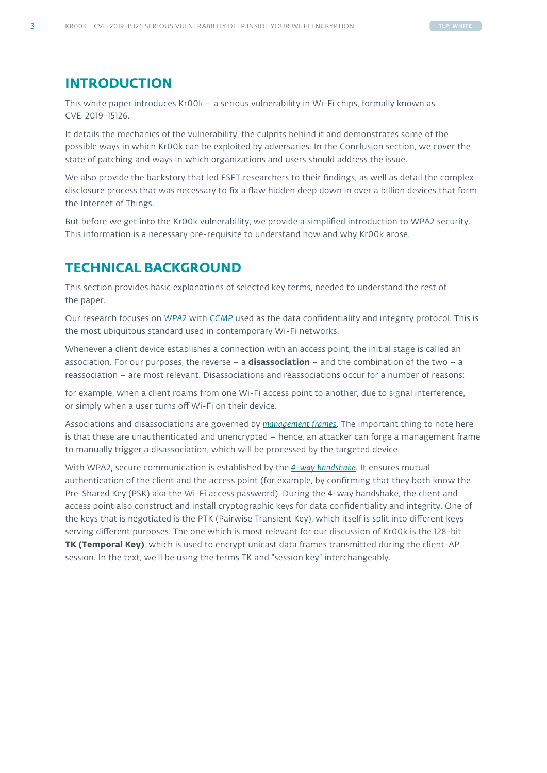## <span id="page-3-0"></span>**INTRODUCTION**

This white paper introduces Kr00k – a serious vulnerability in Wi-Fi chips, formally known as CVE-2019-15126.

It details the mechanics of the vulnerability, the culprits behind it and demonstrates some of the possible ways in which Kr00k can be exploited by adversaries. In the Conclusion section, we cover the state of patching and ways in which organizations and users should address the issue.

We also provide the backstory that led ESET researchers to their findings, as well as detail the complex disclosure process that was necessary to fix a flaw hidden deep down in over a billion devices that form the Internet of Things.

But before we get into the Kr00k vulnerability, we provide a simplified introduction to WPA2 security. This information is a necessary pre-requisite to understand how and why Kr00k arose.

## **TECHNICAL BACKGROUND**

This section provides basic explanations of selected key terms, needed to understand the rest of the paper.

Our research focuses on *[WPA2](https://en.wikipedia.org/wiki/IEEE_802.11i-2004)* with *[CCMP](https://en.wikipedia.org/wiki/CCM_mode)* used as the data confidentiality and integrity protocol. This is the most ubiquitous standard used in contemporary Wi-Fi networks.

Whenever a client device establishes a connection with an access point, the initial stage is called an association. For our purposes, the reverse – a **disassociation** – and the combination of the two – a reassociation – are most relevant. Disassociations and reassociations occur for a number of reasons:

for example, when a client roams from one Wi-Fi access point to another, due to signal interference, or simply when a user turns off Wi-Fi on their device.

Associations and disassociations are governed by *[management frames](https://en.wikipedia.org/wiki/802.11_Frame_Types#Types_and_SubTypes)*. The important thing to note here is that these are unauthenticated and unencrypted – hence, an attacker can forge a management frame to manually trigger a disassociation, which will be processed by the targeted device.

With WPA2, secure communication is established by the *[4-way handshake](https://en.wikipedia.org/wiki/IEEE_802.11i-2004#Four-way_handshake)*. It ensures mutual authentication of the client and the access point (for example, by confirming that they both know the Pre-Shared Key (PSK) aka the Wi-Fi access password). During the 4-way handshake, the client and access point also construct and install cryptographic keys for data confidentiality and integrity. One of the keys that is negotiated is the PTK (Pairwise Transient Key), which itself is split into different keys serving different purposes. The one which is most relevant for our discussion of Kr00k is the 128-bit **TK (Temporal Key)**, which is used to encrypt unicast data frames transmitted during the client-AP session. In the text, we'll be using the terms TK and "session key" interchangeably.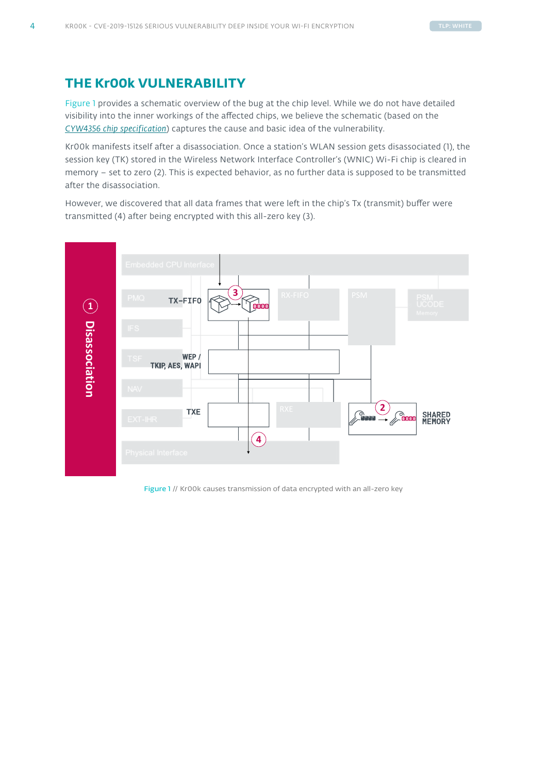## <span id="page-4-0"></span>**THE Kr00k VULNERABILITY**

Figure 1 provides a schematic overview of the bug at the chip level. While we do not have detailed visibility into the inner workings of the affected chips, we believe the schematic (based on the *[CYW4356 chip specification](https://www.cypress.com/file/298796/download)*) captures the cause and basic idea of the vulnerability.

Kr00k manifests itself after a disassociation. Once a station's WLAN session gets disassociated (1), the session key (TK) stored in the Wireless Network Interface Controller's (WNIC) Wi-Fi chip is cleared in memory – set to zero (2). This is expected behavior, as no further data is supposed to be transmitted after the disassociation.

However, we discovered that all data frames that were left in the chip's Tx (transmit) buffer were transmitted (4) after being encrypted with this all-zero key (3).



Figure 1 // Kr00k causes transmission of data encrypted with an all-zero key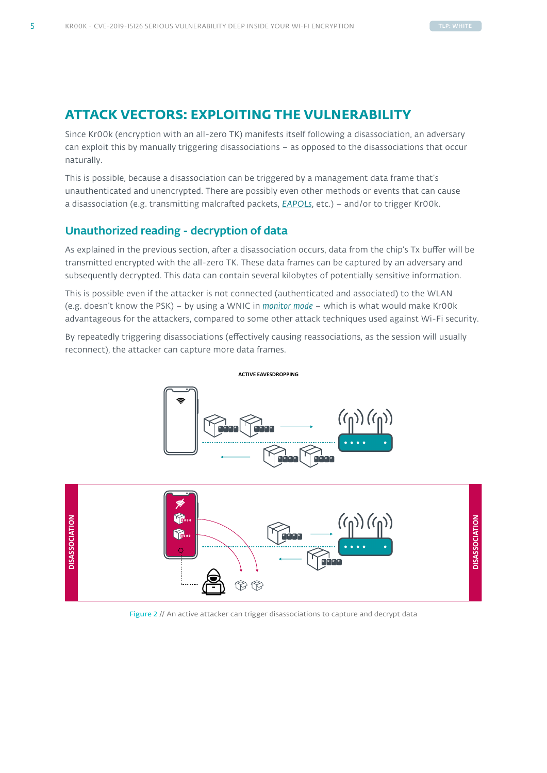# <span id="page-5-0"></span>**ATTACK VECTORS: EXPLOITING THE VULNERABILITY**

Since Kr00k (encryption with an all-zero TK) manifests itself following a disassociation, an adversary can exploit this by manually triggering disassociations – as opposed to the disassociations that occur naturally.

This is possible, because a disassociation can be triggered by a management data frame that's unauthenticated and unencrypted. There are possibly even other methods or events that can cause a disassociation (e.g. transmitting malcrafted packets, *[EAPOLs](https://en.wikipedia.org/wiki/IEEE_802.1X)*, etc.) – and/or to trigger Kr00k.

#### Unauthorized reading - decryption of data

As explained in the previous section, after a disassociation occurs, data from the chip's Tx buffer will be transmitted encrypted with the all-zero TK. These data frames can be captured by an adversary and subsequently decrypted. This data can contain several kilobytes of potentially sensitive information.

This is possible even if the attacker is not connected (authenticated and associated) to the WLAN (e.g. doesn't know the PSK) – by using a WNIC in *[monitor mode](https://en.wikipedia.org/wiki/Monitor_mode)* – which is what would make Kr00k advantageous for the attackers, compared to some other attack techniques used against Wi-Fi security.

By repeatedly triggering disassociations (effectively causing reassociations, as the session will usually reconnect), the attacker can capture more data frames.



Figure 2 // An active attacker can trigger disassociations to capture and decrypt data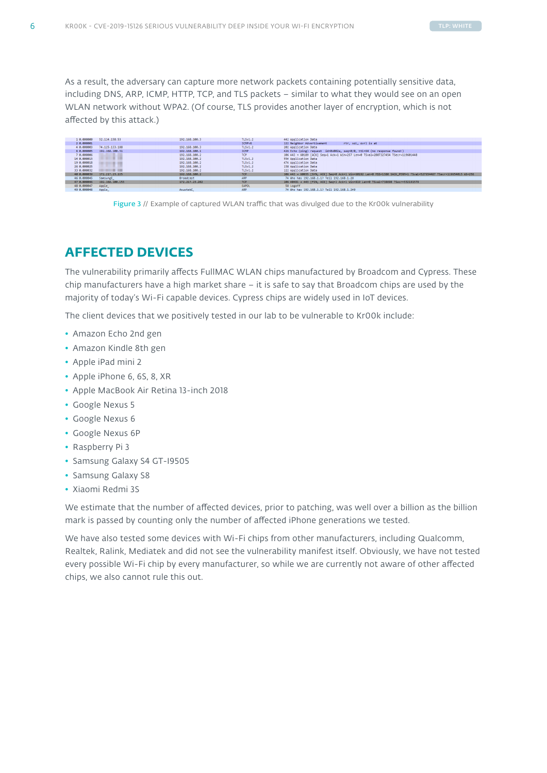<span id="page-6-0"></span>As a result, the adversary can capture more network packets containing potentially sensitive data, including DNS, ARP, ICMP, HTTP, TCP, and TLS packets – similar to what they would see on an open WLAN network without WPA2. (Of course, TLS provides another layer of encryption, which is not affected by this attack.)



Figure 3 // Example of captured WLAN traffic that was divulged due to the Kr00k vulnerability

# **AFFECTED DEVICES**

The vulnerability primarily affects FullMAC WLAN chips manufactured by Broadcom and Cypress. These chip manufacturers have a high market share  $-$  it is safe to say that Broadcom chips are used by the majority of today's Wi-Fi capable devices. Cypress chips are widely used in IoT devices.

The client devices that we positively tested in our lab to be vulnerable to Kr00k include:

- Amazon Echo 2nd gen
- Amazon Kindle 8th gen
- Apple iPad mini 2
- Apple iPhone 6, 6S, 8, XR
- Apple MacBook Air Retina 13-inch 2018
- Google Nexus 5
- Google Nexus 6
- Google Nexus 6P
- Raspberry Pi 3
- Samsung Galaxy S4 GT-I9505
- Samsung Galaxy S8
- Xiaomi Redmi 3S

We estimate that the number of affected devices, prior to patching, was well over a billion as the billion mark is passed by counting only the number of affected iPhone generations we tested.

We have also tested some devices with Wi-Fi chips from other manufacturers, including Qualcomm, Realtek, Ralink, Mediatek and did not see the vulnerability manifest itself. Obviously, we have not tested every possible Wi-Fi chip by every manufacturer, so while we are currently not aware of other affected chips, we also cannot rule this out.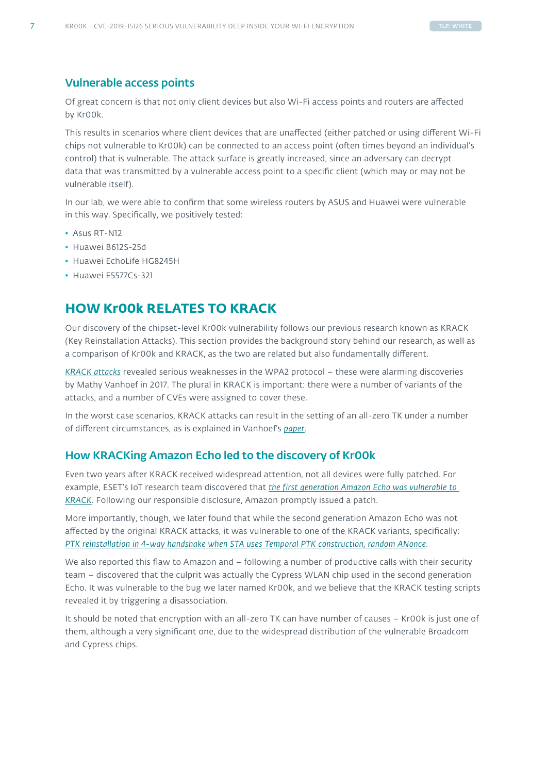#### <span id="page-7-0"></span>Vulnerable access points

Of great concern is that not only client devices but also Wi-Fi access points and routers are affected by Kr00k.

This results in scenarios where client devices that are unaffected (either patched or using different Wi-Fi chips not vulnerable to Kr00k) can be connected to an access point (often times beyond an individual's control) that is vulnerable. The attack surface is greatly increased, since an adversary can decrypt data that was transmitted by a vulnerable access point to a specific client (which may or may not be vulnerable itself).

In our lab, we were able to confirm that some wireless routers by ASUS and Huawei were vulnerable in this way. Specifically, we positively tested:

- Asus RT-N12
- Huawei B612S-25d
- Huawei EchoLife HG8245H
- Huawei E5577Cs-321

## **HOW Kr00k RELATES TO KRACK**

Our discovery of the chipset-level Kr00k vulnerability follows our previous research known as KRACK (Key Reinstallation Attacks). This section provides the background story behind our research, as well as a comparison of Kr00k and KRACK, as the two are related but also fundamentally different.

*[KRACK attacks](https://www.krackattacks.com/)* revealed serious weaknesses in the WPA2 protocol – these were alarming discoveries by Mathy Vanhoef in 2017. The plural in KRACK is important: there were a number of variants of the attacks, and a number of CVEs were assigned to cover these.

In the worst case scenarios, KRACK attacks can result in the setting of an all-zero TK under a number of different circumstances, as is explained in Vanhoef's *[paper](https://papers.mathyvanhoef.com/ccs2017.pdf)*.

#### How KRACKing Amazon Echo led to the discovery of Kr00k

Even two years after KRACK received widespread attention, not all devices were fully patched. For example, ESET's IoT research team discovered that *[the first generation Amazon Echo was vulnerable to](https://www.welivesecurity.com/2019/10/17/alexa-how-amazon-echo-kindle-got-kracked/)  [KRACK](https://www.welivesecurity.com/2019/10/17/alexa-how-amazon-echo-kindle-got-kracked/)*. Following our responsible disclosure, Amazon promptly issued a patch.

More importantly, though, we later found that while the second generation Amazon Echo was not affected by the original KRACK attacks, it was vulnerable to one of the KRACK variants, specifically: *[PTK reinstallation in 4-way handshake when STA uses Temporal PTK construction, random ANonce](https://github.com/vanhoefm/krackattacks-scripts)*.

We also reported this flaw to Amazon and – following a number of productive calls with their security team – discovered that the culprit was actually the Cypress WLAN chip used in the second generation Echo. It was vulnerable to the bug we later named Kr00k, and we believe that the KRACK testing scripts revealed it by triggering a disassociation.

It should be noted that encryption with an all-zero TK can have number of causes – Kr00k is just one of them, although a very significant one, due to the widespread distribution of the vulnerable Broadcom and Cypress chips.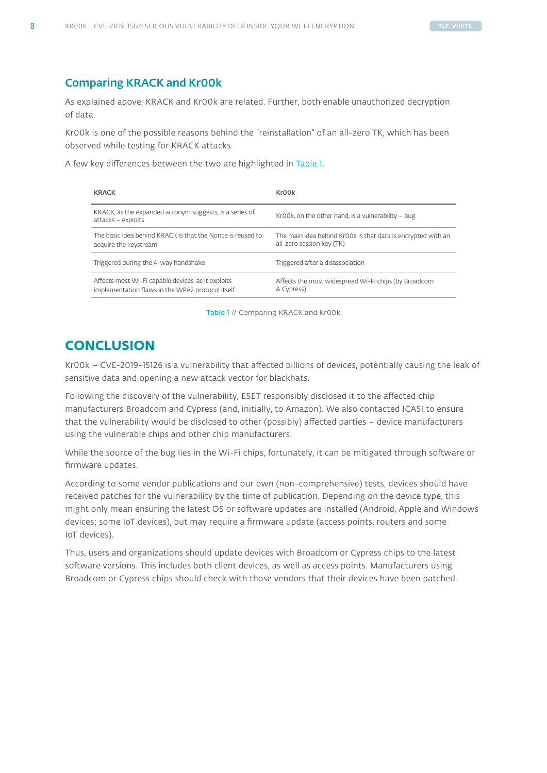#### <span id="page-8-0"></span>Comparing KRACK and Kr00k

As explained above, KRACK and Kr00k are related. Further, both enable unauthorized decryption of data.

Kr00k is one of the possible reasons behind the "reinstallation" of an all-zero TK, which has been observed while testing for KRACK attacks.

A few key differences between the two are highlighted in Table 1.

| <b>KRACK</b>                                                                                           | Kr <sub>00</sub> k                                                                        |
|--------------------------------------------------------------------------------------------------------|-------------------------------------------------------------------------------------------|
| KRACK, as the expanded acronym suggests, is a series of<br>attacks - exploits                          | Kr00k, on the other hand, is a vulnerability $-$ bug                                      |
| The basic idea behind KRACK is that the Nonce is reused to<br>acquire the keystream                    | The main idea behind Kr00k is that data is encrypted with an<br>all-zero session key (TK) |
| Triggered during the 4-way handshake                                                                   | Triggered after a disassociation                                                          |
| Affects most Wi-Fi capable devices, as it exploits<br>implementation flaws in the WPA2 protocol itself | Affects the most widespread Wi-Fi chips (by Broadcom<br>& Cypress)                        |

Table 1 // Comparing KRACK and Kr00k

# **CONCLUSION**

Kr00k – CVE-2019-15126 is a vulnerability that affected billions of devices, potentially causing the leak of sensitive data and opening a new attack vector for blackhats.

Following the discovery of the vulnerability, ESET responsibly disclosed it to the affected chip manufacturers Broadcom and Cypress (and, initially, to Amazon). We also contacted ICASI to ensure that the vulnerability would be disclosed to other (possibly) affected parties – device manufacturers using the vulnerable chips and other chip manufacturers.

While the source of the bug lies in the Wi-Fi chips, fortunately, it can be mitigated through software or firmware updates.

According to some vendor publications and our own (non-comprehensive) tests, devices should have received patches for the vulnerability by the time of publication. Depending on the device type, this might only mean ensuring the latest OS or software updates are installed (Android, Apple and Windows devices; some IoT devices), but may require a firmware update (access points, routers and some IoT devices).

Thus, users and organizations should update devices with Broadcom or Cypress chips to the latest software versions. This includes both client devices, as well as access points. Manufacturers using Broadcom or Cypress chips should check with those vendors that their devices have been patched.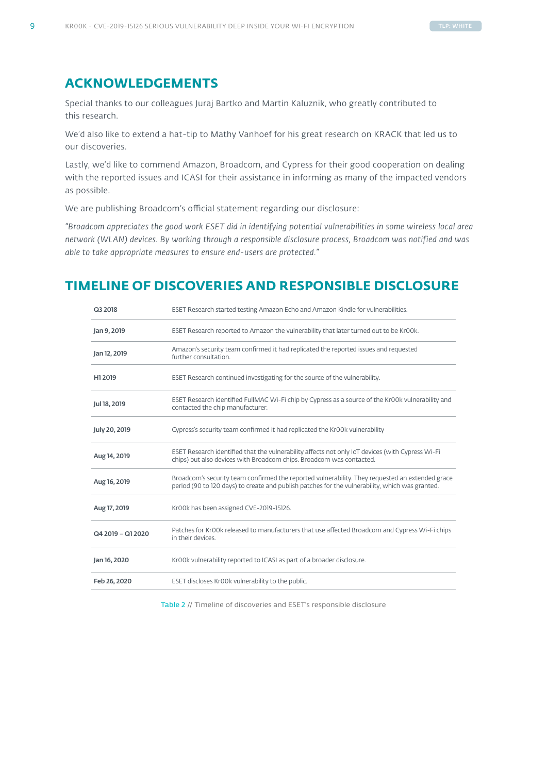## <span id="page-9-0"></span>**ACKNOWLEDGEMENTS**

Special thanks to our colleagues Juraj Bartko and Martin Kaluznik, who greatly contributed to this research.

We'd also like to extend a hat-tip to Mathy Vanhoef for his great research on KRACK that led us to our discoveries.

Lastly, we'd like to commend Amazon, Broadcom, and Cypress for their good cooperation on dealing with the reported issues and ICASI for their assistance in informing as many of the impacted vendors as possible.

We are publishing Broadcom's official statement regarding our disclosure:

*"Broadcom appreciates the good work ESET did in identifying potential vulnerabilities in some wireless local area network (WLAN) devices. By working through a responsible disclosure process, Broadcom was notified and was able to take appropriate measures to ensure end-users are protected."*

# **TIMELINE OF DISCOVERIES AND RESPONSIBLE DISCLOSURE**

| Q3 2018           | ESET Research started testing Amazon Echo and Amazon Kindle for vulnerabilities.                                                                                                                   |
|-------------------|----------------------------------------------------------------------------------------------------------------------------------------------------------------------------------------------------|
| Jan 9, 2019       | ESET Research reported to Amazon the vulnerability that later turned out to be Kr00k.                                                                                                              |
| Jan 12, 2019      | Amazon's security team confirmed it had replicated the reported issues and requested<br>further consultation.                                                                                      |
| H1 2019           | ESET Research continued investigating for the source of the vulnerability.                                                                                                                         |
| Jul 18, 2019      | ESET Research identified FullMAC Wi-Fi chip by Cypress as a source of the Kr00k vulnerability and<br>contacted the chip manufacturer.                                                              |
| July 20, 2019     | Cypress's security team confirmed it had replicated the Kr00k vulnerability                                                                                                                        |
| Aug 14, 2019      | ESET Research identified that the vulnerability affects not only IoT devices (with Cypress Wi-Fi<br>chips) but also devices with Broadcom chips. Broadcom was contacted.                           |
| Aug 16, 2019      | Broadcom's security team confirmed the reported vulnerability. They requested an extended grace<br>period (90 to 120 days) to create and publish patches for the vulnerability, which was granted. |
| Aug 17, 2019      | Kr00k has been assigned CVE-2019-15126.                                                                                                                                                            |
| Q4 2019 - Q1 2020 | Patches for Kr00k released to manufacturers that use affected Broadcom and Cypress Wi-Fi chips<br>in their devices.                                                                                |
| Jan 16, 2020      | Kr00k vulnerability reported to ICASI as part of a broader disclosure.                                                                                                                             |
| Feb 26, 2020      | ESET discloses Kr00k vulnerability to the public.                                                                                                                                                  |

Table 2 // Timeline of discoveries and ESET's responsible disclosure